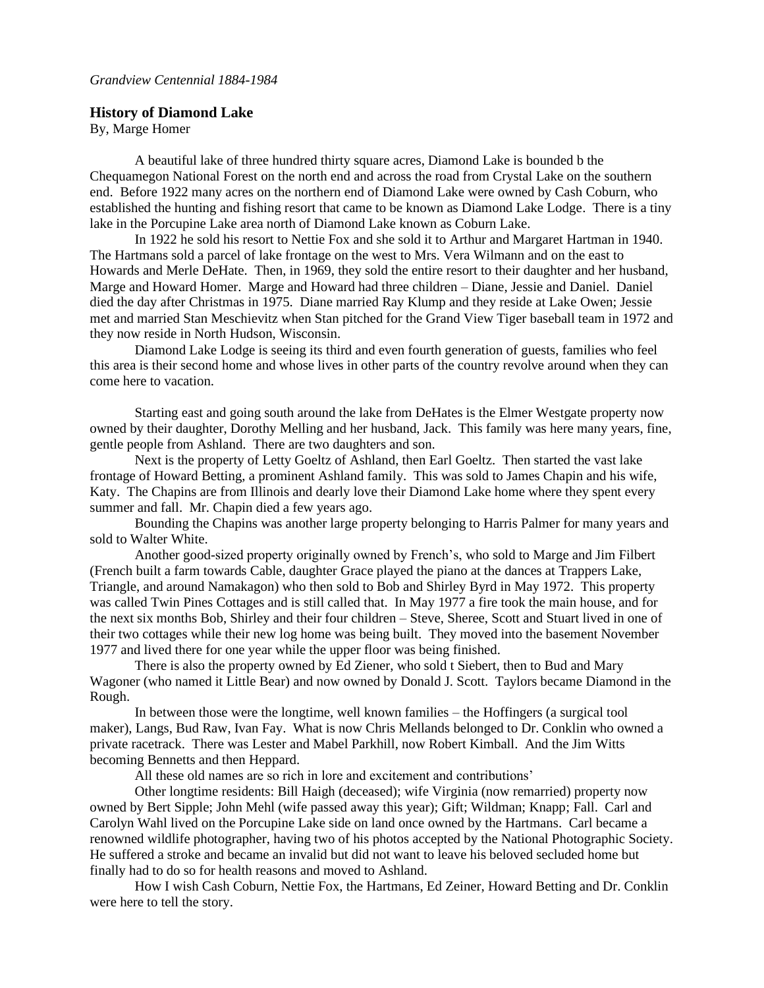## **History of Diamond Lake**

By, Marge Homer

A beautiful lake of three hundred thirty square acres, Diamond Lake is bounded b the Chequamegon National Forest on the north end and across the road from Crystal Lake on the southern end. Before 1922 many acres on the northern end of Diamond Lake were owned by Cash Coburn, who established the hunting and fishing resort that came to be known as Diamond Lake Lodge. There is a tiny lake in the Porcupine Lake area north of Diamond Lake known as Coburn Lake.

In 1922 he sold his resort to Nettie Fox and she sold it to Arthur and Margaret Hartman in 1940. The Hartmans sold a parcel of lake frontage on the west to Mrs. Vera Wilmann and on the east to Howards and Merle DeHate. Then, in 1969, they sold the entire resort to their daughter and her husband, Marge and Howard Homer. Marge and Howard had three children – Diane, Jessie and Daniel. Daniel died the day after Christmas in 1975. Diane married Ray Klump and they reside at Lake Owen; Jessie met and married Stan Meschievitz when Stan pitched for the Grand View Tiger baseball team in 1972 and they now reside in North Hudson, Wisconsin.

Diamond Lake Lodge is seeing its third and even fourth generation of guests, families who feel this area is their second home and whose lives in other parts of the country revolve around when they can come here to vacation.

Starting east and going south around the lake from DeHates is the Elmer Westgate property now owned by their daughter, Dorothy Melling and her husband, Jack. This family was here many years, fine, gentle people from Ashland. There are two daughters and son.

Next is the property of Letty Goeltz of Ashland, then Earl Goeltz. Then started the vast lake frontage of Howard Betting, a prominent Ashland family. This was sold to James Chapin and his wife, Katy. The Chapins are from Illinois and dearly love their Diamond Lake home where they spent every summer and fall. Mr. Chapin died a few years ago.

Bounding the Chapins was another large property belonging to Harris Palmer for many years and sold to Walter White.

Another good-sized property originally owned by French's, who sold to Marge and Jim Filbert (French built a farm towards Cable, daughter Grace played the piano at the dances at Trappers Lake, Triangle, and around Namakagon) who then sold to Bob and Shirley Byrd in May 1972. This property was called Twin Pines Cottages and is still called that. In May 1977 a fire took the main house, and for the next six months Bob, Shirley and their four children – Steve, Sheree, Scott and Stuart lived in one of their two cottages while their new log home was being built. They moved into the basement November 1977 and lived there for one year while the upper floor was being finished.

There is also the property owned by Ed Ziener, who sold t Siebert, then to Bud and Mary Wagoner (who named it Little Bear) and now owned by Donald J. Scott. Taylors became Diamond in the Rough.

In between those were the longtime, well known families – the Hoffingers (a surgical tool maker), Langs, Bud Raw, Ivan Fay. What is now Chris Mellands belonged to Dr. Conklin who owned a private racetrack. There was Lester and Mabel Parkhill, now Robert Kimball. And the Jim Witts becoming Bennetts and then Heppard.

All these old names are so rich in lore and excitement and contributions'

Other longtime residents: Bill Haigh (deceased); wife Virginia (now remarried) property now owned by Bert Sipple; John Mehl (wife passed away this year); Gift; Wildman; Knapp; Fall. Carl and Carolyn Wahl lived on the Porcupine Lake side on land once owned by the Hartmans. Carl became a renowned wildlife photographer, having two of his photos accepted by the National Photographic Society. He suffered a stroke and became an invalid but did not want to leave his beloved secluded home but finally had to do so for health reasons and moved to Ashland.

How I wish Cash Coburn, Nettie Fox, the Hartmans, Ed Zeiner, Howard Betting and Dr. Conklin were here to tell the story.